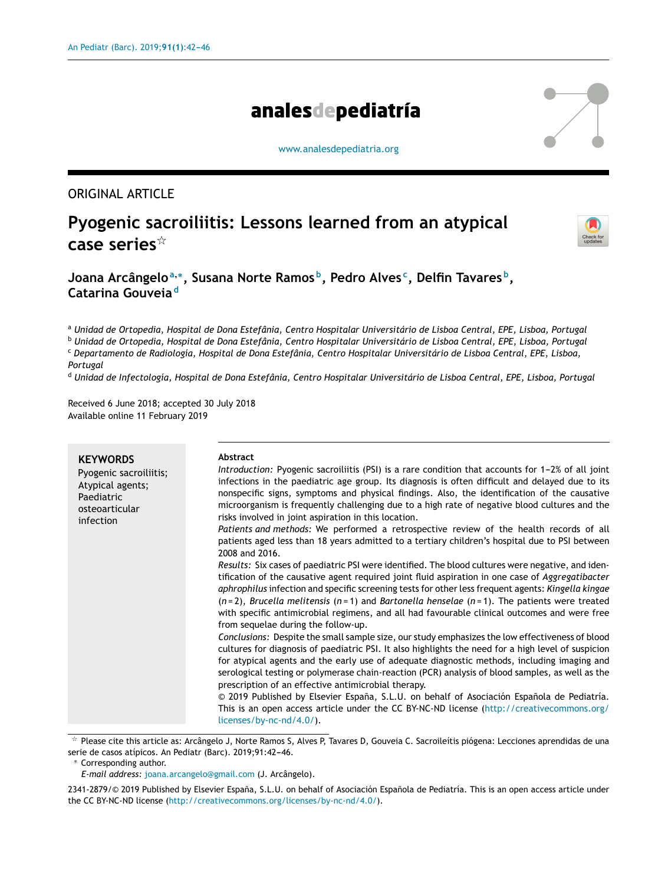# analesdepediatría

[www.analesdepediatria.org](http://www.analesdepediatria.org)

## ORIGINAL ARTICLE

## **Pyogenic sacroiliitis: Lessons learned from an atypical case series**-



**Joana Arcângelo<sup>a</sup>**,<sup>∗</sup> **, Susana Norte Ramos <sup>b</sup> , Pedro Alves <sup>c</sup> , Delfin Tavares <sup>b</sup> , Catarina Gouveia <sup>d</sup>**

a Unidad de Ortopedia, Hospital de Dona Estefânia, Centro Hospitalar Universitário de Lisboa Central, EPE, Lisboa, Portugal

<sup>b</sup> Unidad de Ortopedia, Hospital de Dona Estefânia, Centro Hospitalar Universitário de Lisboa Central, EPE, Lisboa, Portugal <sup>c</sup> Departamento de Radiología, Hospital de Dona Estefânia, Centro Hospitalar Universitário de Lisboa Central, EPE, Lisboa,

*Portugal*

<sup>d</sup> Unidad de Infectología, Hospital de Dona Estefânia, Centro Hospitalar Universitário de Lisboa Central, EPE, Lisboa, Portugal

Received 6 June 2018; accepted 30 July 2018 Available online 11 February 2019

| <b>KEYWORDS</b><br>Pyogenic sacroiliitis;<br>Atypical agents;<br>Paediatric<br>osteoarticular<br>infection | <b>Abstract</b><br>Introduction: Pyogenic sacroiliitis (PSI) is a rare condition that accounts for 1–2% of all joint<br>infections in the paediatric age group. Its diagnosis is often difficult and delayed due to its<br>nonspecific signs, symptoms and physical findings. Also, the identification of the causative<br>microorganism is frequently challenging due to a high rate of negative blood cultures and the<br>risks involved in joint aspiration in this location.<br>Patients and methods: We performed a retrospective review of the health records of all<br>patients aged less than 18 years admitted to a tertiary children's hospital due to PSI between<br>2008 and 2016.<br>Results: Six cases of paediatric PSI were identified. The blood cultures were negative, and iden-<br>tification of the causative agent required joint fluid aspiration in one case of Aggregatibacter<br>aphrophilus infection and specific screening tests for other less frequent agents: Kingella kingae<br>$(n=2)$ , Brucella melitensis $(n=1)$ and Bartonella henselae $(n=1)$ . The patients were treated<br>with specific antimicrobial regimens, and all had favourable clinical outcomes and were free<br>from sequelae during the follow-up.<br>Conclusions: Despite the small sample size, our study emphasizes the low effectiveness of blood<br>cultures for diagnosis of paediatric PSI. It also highlights the need for a high level of suspicion<br>for atypical agents and the early use of adequate diagnostic methods, including imaging and |
|------------------------------------------------------------------------------------------------------------|--------------------------------------------------------------------------------------------------------------------------------------------------------------------------------------------------------------------------------------------------------------------------------------------------------------------------------------------------------------------------------------------------------------------------------------------------------------------------------------------------------------------------------------------------------------------------------------------------------------------------------------------------------------------------------------------------------------------------------------------------------------------------------------------------------------------------------------------------------------------------------------------------------------------------------------------------------------------------------------------------------------------------------------------------------------------------------------------------------------------------------------------------------------------------------------------------------------------------------------------------------------------------------------------------------------------------------------------------------------------------------------------------------------------------------------------------------------------------------------------------------------------------------------------------------------------|
|                                                                                                            | serological testing or polymerase chain-reaction (PCR) analysis of blood samples, as well as the<br>prescription of an effective antimicrobial therapy.                                                                                                                                                                                                                                                                                                                                                                                                                                                                                                                                                                                                                                                                                                                                                                                                                                                                                                                                                                                                                                                                                                                                                                                                                                                                                                                                                                                                            |
|                                                                                                            | © 2019 Published by Elsevier España, S.L.U. on behalf of Asociación Española de Pediatría.<br>This is an open access article under the CC BY-NC-ND license (http://creativecommons.org/<br>licenses/by-nc-nd/4.0/).                                                                                                                                                                                                                                                                                                                                                                                                                                                                                                                                                                                                                                                                                                                                                                                                                                                                                                                                                                                                                                                                                                                                                                                                                                                                                                                                                |

- Please cite this article as: Arcângelo J, Norte Ramos S, Alves P, Tavares D, Gouveia C. Sacroileítis piógena: Lecciones aprendidas de una serie de casos atípicos. An Pediatr (Barc). 2019;91:42-46.

<sup>∗</sup> Corresponding author.

*E-mail address:* [joana.arcangelo@gmail.com](mailto:joana.arcangelo@gmail.com) (J. Arcângelo).

2341-2879/© 2019 Published by Elsevier España, S.L.U. on behalf of Asociación Española de Pediatría. This is an open access article under the CC BY-NC-ND license [\(http://creativecommons.org/licenses/by-nc-nd/4.0/\)](http://creativecommons.org/licenses/by-nc-nd/4.0/).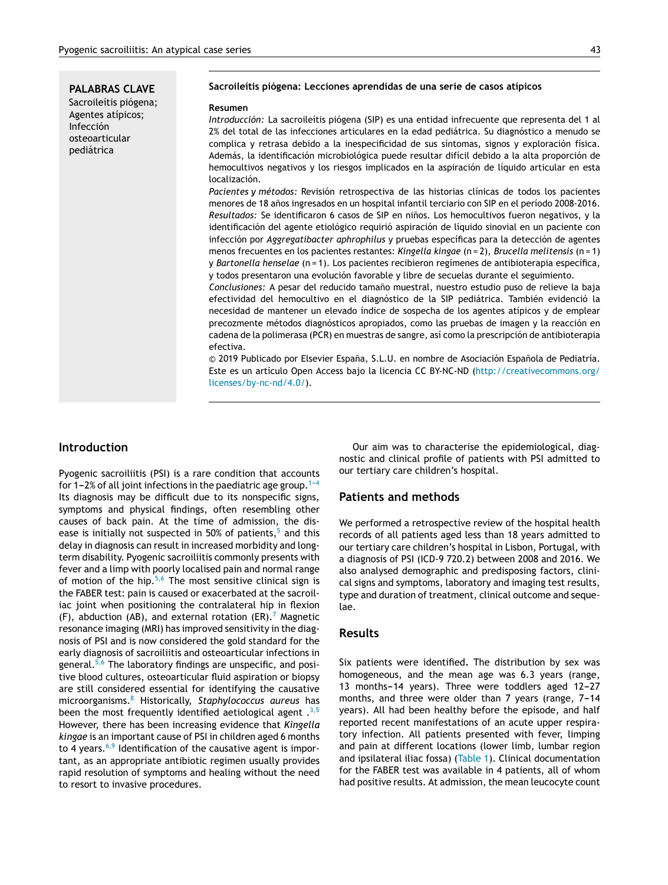**PALABRAS CLAVE** Sacroileítis piógena; Agentes atípicos; Infección osteoarticular pediátrica

#### **Sacroileítis piógena: Lecciones aprendidas de una serie de casos atípicos**

#### **Resumen**

*Introducción:* La sacroileítis piógena (SIP) es una entidad infrecuente que representa del 1 al 2% del total de las infecciones articulares en la edad pediátrica. Su diagnóstico a menudo se complica y retrasa debido a la inespecificidad de sus síntomas, signos y exploración física. Además, la identificación microbiológica puede resultar difícil debido a la alta proporción de hemocultivos negativos y los riesgos implicados en la aspiración de líquido articular en esta localización.

*Pacientes y métodos:* Revisión retrospectiva de las historias clínicas de todos los pacientes menores de 18 años ingresados en un hospital infantil terciario con SIP en el período 2008-2016. Resultados: Se identificaron 6 casos de SIP en niños. Los hemocultivos fueron negativos, y la identificación del agente etiológico requirió aspiración de líquido sinovial en un paciente con infección por *Aggregatibacter aphrophilus* y pruebas específicas para la detección de agentes menos frecuentes en los pacientes restantes: *Kingella kingae* (n = 2), *Brucella melitensis* (n = 1) y *Bartonella henselae* (n = 1). Los pacientes recibieron regímenes de antibioterapia específica, y todos presentaron una evolución favorable y libre de secuelas durante el seguimiento.

Conclusiones: A pesar del reducido tamaño muestral, nuestro estudio puso de relieve la baja efectividad del hemocultivo en el diagnóstico de la SIP pediátrica. También evidenció la necesidad de mantener un elevado índice de sospecha de los agentes atípicos y de emplear precozmente métodos diagnósticos apropiados, como las pruebas de imagen y la reacción en cadena de la polimerasa (PCR) en muestras de sangre, así como la prescripción de antibioterapia efectiva.

© 2019 Publicado por Elsevier España, S.L.U. en nombre de Asociación Española de Pediatría. Este es un artículo Open Access bajo la licencia CC BY-NC-ND ([http://creativecommons.org/](http://creativecommons.org/licenses/by-nc-nd/4.0/) [licenses/by-nc-nd/4.0/](http://creativecommons.org/licenses/by-nc-nd/4.0/)).

### **Introduction**

Pyogenic sacroiliitis (PSI) is a rare condition that accounts for 1-2% of all joint infections in the paediatric age group.<sup>1-4</sup> Its diagnosis may be difficult due to its nonspecific signs, symptoms and physical findings, often resembling other causes of back pain. At the time of admission, the dis-ease is initially not suspected in [5](#page-4-0)0% of patients, $5$  and this delay in diagnosis can result in increased morbidity and longterm disability. Pyogenic sacroiliitis commonly presents with fever and a limp with poorly localised pain and normal range of motion of the hip.<sup>[5,6](#page-4-0)</sup> The most sensitive clinical sign is the FABER test: pain is caused or exacerbated at the sacroiliac joint when positioning the contralateral hip in flexion (F), abduction (AB), and external rotation (ER).<sup>[7](#page-4-0)</sup> Magnetic resonance imaging (MRI) has improved sensitivity in the diagnosis of PSI and is now considered the gold standard for the early diagnosis of sacroiliitis and osteoarticular infections in general.<sup>[5,6](#page-4-0)</sup> The laboratory findings are unspecific, and positive blood cultures, osteoarticular fluid aspiration or biopsy are still considered essential for identifying the causative microorganisms.[8](#page-4-0) Historically, *Staphylococcus aureus* has been the most frequently identified aetiological agent .[3,5](#page-4-0) However, there has been increasing evidence that *Kingella kingae* is an important cause of PSI in children aged 6 months to 4 years. $6,9$  Identification of the causative agent is important, as an appropriate antibiotic regimen usually provides rapid resolution of symptoms and healing without the need to resort to invasive procedures.

Our aim was to characterise the epidemiological, diagnostic and clinical profile of patients with PSI admitted to our tertiary care children's hospital.

### **Patients and methods**

We performed a retrospective review of the hospital health records of all patients aged less than 18 years admitted to our tertiary care children's hospital in Lisbon, Portugal, with a diagnosis of PSI (ICD-9 720.2) between 2008 and 2016. We also analysed demographic and predisposing factors, clinical signs and symptoms, laboratory and imaging test results, type and duration of treatment, clinical outcome and sequelae.

#### **Results**

Six patients were identified**.** The distribution by sex was homogeneous, and the mean age was 6.3 years (range, 13 months-14 years). Three were toddlers aged 12-27 months, and three were older than 7 years (range, 7-14 years). All had been healthy before the episode, and half reported recent manifestations of an acute upper respiratory infection. All patients presented with fever, limping and pain at different locations (lower limb, lumbar region and ipsilateral iliac fossa) [\(Table](#page-2-0) 1). Clinical documentation for the FABER test was available in 4 patients, all of whom had positive results. At admission, the mean leucocyte count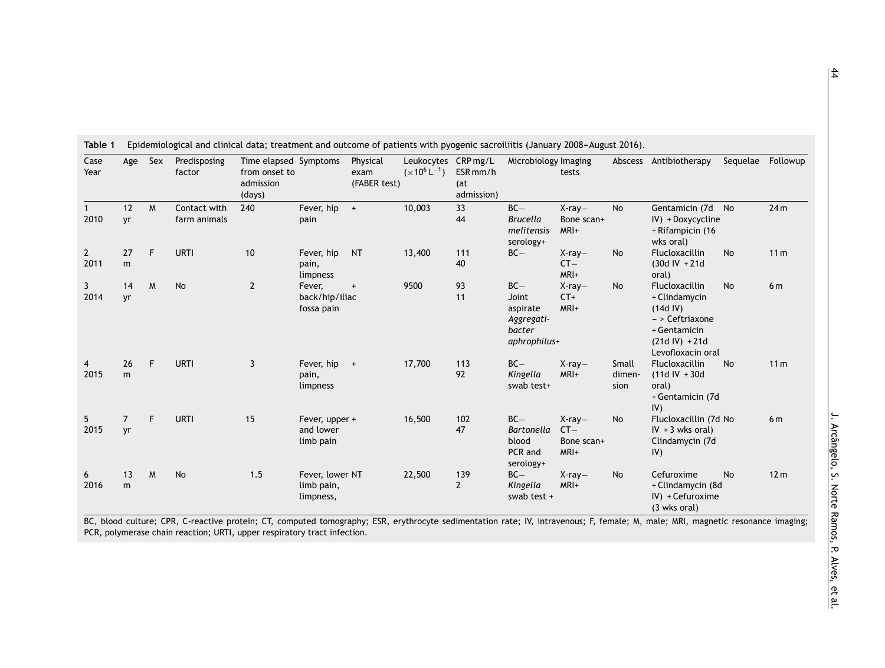| Case<br>Year           | Age                  | Sex | Predisposing<br>factor       | Time elapsed Symptoms<br>from onset to<br>admission<br>(days) |                                            | Physical<br>exam<br>(FABER test) | Leukocytes<br>$(x10^6 L^{-1})$ | CRP mg/L<br>ESR <sub>mm/h</sub><br>(at<br>admission) | Microbiology Imaging                                                | tests                                    |                         | Abscess Antibiotherapy                                                                                                           | Sequelae  | Followup        |
|------------------------|----------------------|-----|------------------------------|---------------------------------------------------------------|--------------------------------------------|----------------------------------|--------------------------------|------------------------------------------------------|---------------------------------------------------------------------|------------------------------------------|-------------------------|----------------------------------------------------------------------------------------------------------------------------------|-----------|-----------------|
| 2010                   | 12<br>yr             | M   | Contact with<br>farm animals | 240                                                           | Fever, hip<br>pain                         | $+$                              | 10,003                         | 33<br>44                                             | $BC -$<br><b>Brucella</b><br>melitensis<br>serology+                | $X-ray-$<br>Bone scan+<br>MRI+           | <b>No</b>               | Gentamicin (7d No<br>IV) + Doxycycline<br>+ Rifampicin (16<br>wks oral)                                                          |           | 24 <sub>m</sub> |
| $\overline{2}$<br>2011 | 27<br>m              | F   | <b>URTI</b>                  | 10                                                            | Fever, hip<br>pain,<br>limpness            | <b>NT</b>                        | 13,400                         | 111<br>40                                            | $BC -$                                                              | $X-ray-$<br>$CT -$<br>MRI+               | <b>No</b>               | Flucloxacillin<br>$(30d IV + 21d)$<br>oral)                                                                                      | No        | 11 <sub>m</sub> |
| 3<br>2014              | 14<br>yr             | M   | No                           | $\overline{2}$                                                | Fever,<br>back/hip/iliac<br>fossa pain     | $\overline{+}$                   | 9500                           | 93<br>11                                             | $BC -$<br>Joint<br>aspirate<br>Aggregati-<br>bacter<br>aphrophilus+ | $X-ray-$<br>$CT+$<br>MRI+                | <b>No</b>               | <b>Flucloxacillin</b><br>+ Clindamycin<br>$(14d$ IV)<br>- > Ceftriaxone<br>+ Gentamicin<br>$(21d IV) + 21d$<br>Levofloxacin oral | No        | 6 <sub>m</sub>  |
| 4<br>2015              | 26<br>m              | F   | <b>URTI</b>                  | 3                                                             | Fever, hip<br>pain,<br>limpness            | $+$                              | 17,700                         | 113<br>92                                            | $BC -$<br>Kingella<br>swab test+                                    | $X-ray-$<br>MRI+                         | Small<br>dimen-<br>sion | <b>Flucloxacillin</b><br>$(11d IV + 30d$<br>oral)<br>+ Gentamicin (7d<br>IV)                                                     | <b>No</b> | 11 <sub>m</sub> |
| 5.<br>2015             | $\overline{7}$<br>yr | F   | <b>URTI</b>                  | 15                                                            | Fever, upper +<br>and lower<br>limb pain   |                                  | 16,500                         | 102<br>47                                            | $BC -$<br><b>Bartonella</b><br>blood<br>PCR and<br>serology+        | $X-ray-$<br>$CT -$<br>Bone scan+<br>MRI+ | <b>No</b>               | Flucloxacillin (7d No<br>$IV + 3$ wks oral)<br>Clindamycin (7d<br>IV)                                                            |           | 6 <sub>m</sub>  |
| 6<br>2016              | 13<br>m              | M   | No                           | 1.5                                                           | Fever, lower NT<br>limb pain,<br>limpness, |                                  | 22,500                         | 139<br>$\mathbf{2}$                                  | $BC -$<br>Kingella<br>swab test $+$                                 | $X-ray-$<br>MRI+                         | <b>No</b>               | Cefuroxime<br>+ Clindamycin (8d<br>$IV$ ) + Cefuroxime<br>(3 wks oral)                                                           | <b>No</b> | 12 <sub>m</sub> |

<span id="page-2-0"></span>Table 1 Epidemiological and clinical data; treatment and outcome of patients with pyogenic sacroiliitis (January 2008-August 2016).

BC, blood culture; CPR, C-reactive protein; CT, computed tomography; ESR, erythrocyte sedimentation rate; IV, intravenous; F, female; M, male; MRI, magnetic resonance imaging; PCR, polymerase chain reaction; URTI, upper respiratory tract infection.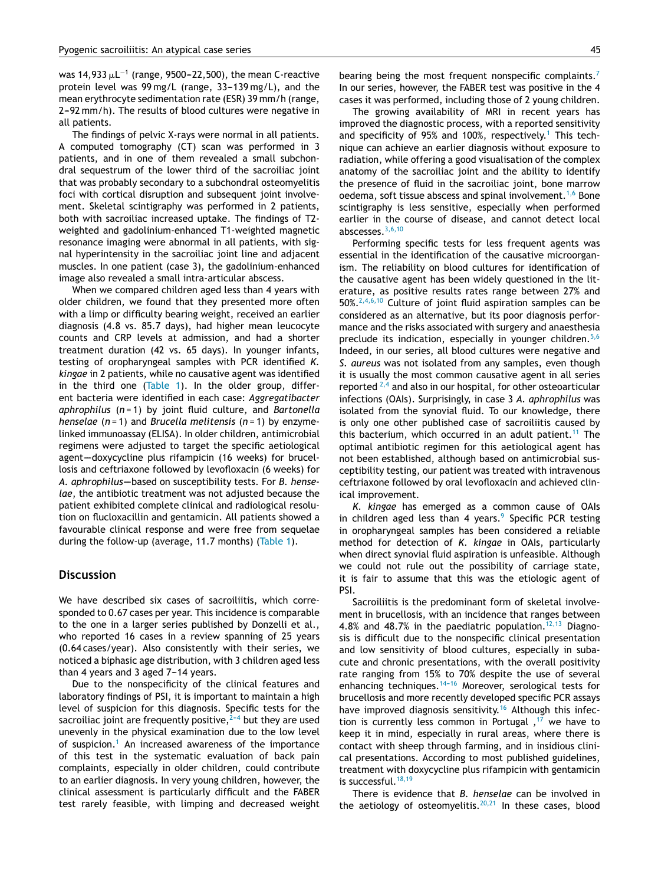was 14,933  $\mu$ L $^{-1}$  (range, 9500–22,500), the mean C-reactive protein level was  $99 \text{ mg/L}$  (range,  $33-139 \text{ mg/L}$ ), and the mean erythrocyte sedimentation rate (ESR) 39 mm/h (range, 2-92 mm/h). The results of blood cultures were negative in all patients.

The findings of pelvic X-rays were normal in all patients. A computed tomography (CT) scan was performed in 3 patients, and in one of them revealed a small subchondral sequestrum of the lower third of the sacroiliac joint that was probably secondary to a subchondral osteomyelitis foci with cortical disruption and subsequent joint involvement. Skeletal scintigraphy was performed in 2 patients, both with sacroiliac increased uptake. The findings of T2 weighted and gadolinium-enhanced T1-weighted magnetic resonance imaging were abnormal in all patients, with signal hyperintensity in the sacroiliac joint line and adjacent muscles. In one patient (case 3), the gadolinium-enhanced image also revealed a small intra-articular abscess.

When we compared children aged less than 4 years with older children, we found that they presented more often with a limp or difficulty bearing weight, received an earlier diagnosis (4.8 vs. 85.7 days), had higher mean leucocyte counts and CRP levels at admission, and had a shorter treatment duration (42 vs. 65 days). In younger infants, testing of oropharyngeal samples with PCR identified *K. kingae* in 2 patients, while no causative agent was identified in the third one ([Table](#page-2-0) 1). In the older group, different bacteria were identified in each case: *Aggregatibacter aphrophilus* (*n* = 1) by joint fluid culture, and *Bartonella henselae* (*n* = 1) and *Brucella melitensis* (*n* = 1) by enzymelinked immunoassay (ELISA). In older children, antimicrobial regimens were adjusted to target the specific aetiological agent-doxycycline plus rifampicin (16 weeks) for brucellosis and ceftriaxone followed by levofloxacin (6 weeks) for A. aphrophilus-based on susceptibility tests. For *B. henselae*, the antibiotic treatment was not adjusted because the patient exhibited complete clinical and radiological resolution on flucloxacillin and gentamicin. All patients showed a favourable clinical response and were free from sequelae during the follow-up (average, 11.7 months) ([Table](#page-2-0) 1).

#### **Discussion**

We have described six cases of sacroiliitis, which corresponded to 0.67 cases per year. This incidence is comparable to the one in a larger series published by Donzelli et al., who reported 16 cases in a review spanning of 25 years (0.64 cases/year). Also consistently with their series, we noticed a biphasic age distribution, with 3 children aged less than 4 years and 3 aged  $7-14$  years.

Due to the nonspecificity of the clinical features and laboratory findings of PSI, it is important to maintain a high level of suspicion for this diagnosis. Specific tests for the sacroiliac joint are frequently positive, $2-4$  but they are used unevenly in the physical examination due to the low level of suspicion.<sup>[1](#page-4-0)</sup> An increased awareness of the importance of this test in the systematic evaluation of back pain complaints, especially in older children, could contribute to an earlier diagnosis. In very young children, however, the clinical assessment is particularly difficult and the FABER test rarely feasible, with limping and decreased weight bearing being the most frequent nonspecific complaints.<sup>[7](#page-4-0)</sup> In our series, however, the FABER test was positive in the 4 cases it was performed, including those of 2 young children.

The growing availability of MRI in recent years has improved the diagnostic process, with a reported sensitivity and specificity of 95% and [1](#page-4-0)00%, respectively.<sup>1</sup> This technique can achieve an earlier diagnosis without exposure to radiation, while offering a good visualisation of the complex anatomy of the sacroiliac joint and the ability to identify the presence of fluid in the sacroiliac joint, bone marrow oedema, soft tissue abscess and spinal involvement.<sup>[1,6](#page-4-0)</sup> Bone scintigraphy is less sensitive, especially when performed earlier in the course of disease, and cannot detect local abscesses.[3,6,10](#page-4-0)

Performing specific tests for less frequent agents was essential in the identification of the causative microorganism. The reliability on blood cultures for identification of the causative agent has been widely questioned in the literature, as positive results rates range between 27% and  $50\%.^{2,4,6,10}$  $50\%.^{2,4,6,10}$  $50\%.^{2,4,6,10}$  Culture of joint fluid aspiration samples can be considered as an alternative, but its poor diagnosis performance and the risks associated with surgery and anaesthesia preclude its indication, especially in younger children.<sup>[5,6](#page-4-0)</sup> Indeed, in our series, all blood cultures were negative and *S. aureus* was not isolated from any samples, even though it is usually the most common causative agent in all series reported  $2,4$  and also in our hospital, for other osteoarticular infections (OAIs). Surprisingly, in case 3 *A. aphrophilus* was isolated from the synovial fluid. To our knowledge, there is only one other published case of sacroiliitis caused by this bacterium, which occurred in an adult patient.<sup>[11](#page-4-0)</sup> The optimal antibiotic regimen for this aetiological agent has not been established, although based on antimicrobial susceptibility testing, our patient was treated with intravenous ceftriaxone followed by oral levofloxacin and achieved clinical improvement.

*K. kingae* has emerged as a common cause of OAIs in children aged less than 4 years.<sup>[9](#page-4-0)</sup> Specific PCR testing in oropharyngeal samples has been considered a reliable method for detection of *K. kingae* in OAIs, particularly when direct synovial fluid aspiration is unfeasible. Although we could not rule out the possibility of carriage state, it is fair to assume that this was the etiologic agent of PSI.

Sacroiliitis is the predominant form of skeletal involvement in brucellosis, with an incidence that ranges between 4.8% and 48.7% in the paediatric population.<sup>[12,13](#page-4-0)</sup> Diagnosis is difficult due to the nonspecific clinical presentation and low sensitivity of blood cultures, especially in subacute and chronic presentations, with the overall positivity rate ranging from 15% to 70% despite the use of several enhancing techniques.<sup>14-16</sup> Moreover, serological tests for brucellosis and more recently developed specific PCR assays have improved diagnosis sensitivity.<sup>[16](#page-4-0)</sup> Although this infec-tion is currently less common in Portugal,<sup>[17](#page-4-0)</sup> we have to keep it in mind, especially in rural areas, where there is contact with sheep through farming, and in insidious clinical presentations. According to most published guidelines, treatment with doxycycline plus rifampicin with gentamicin is successful.<sup>[18,19](#page-4-0)</sup>

There is evidence that *B. henselae* can be involved in the aetiology of osteomyelitis. $20,21$  In these cases, blood